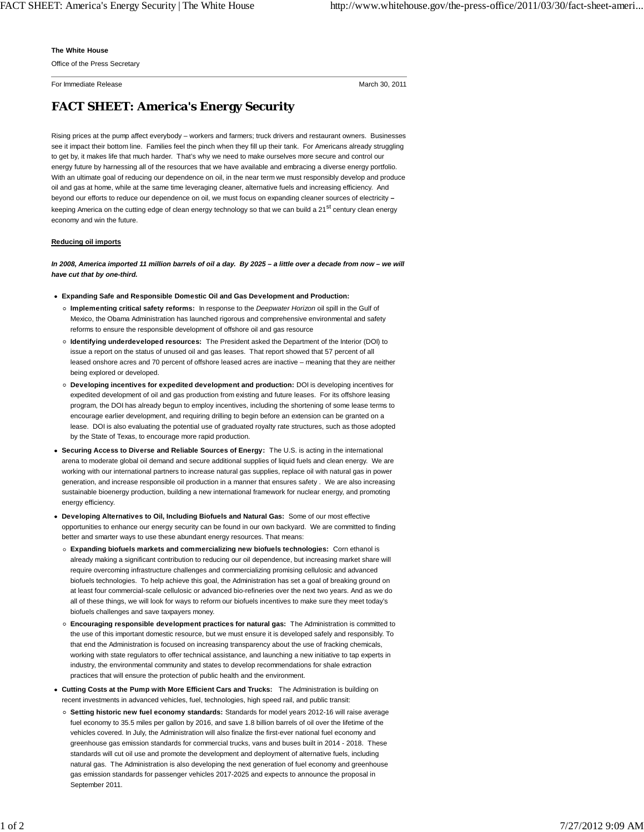## **The White House**

Office of the Press Secretary

For Immediate Release March 30, 2011

## **FACT SHEET: America's Energy Security**

Rising prices at the pump affect everybody – workers and farmers; truck drivers and restaurant owners. Businesses see it impact their bottom line. Families feel the pinch when they fill up their tank. For Americans already struggling to get by, it makes life that much harder. That's why we need to make ourselves more secure and control our energy future by harnessing all of the resources that we have available and embracing a diverse energy portfolio. With an ultimate goal of reducing our dependence on oil, in the near term we must responsibly develop and produce oil and gas at home, while at the same time leveraging cleaner, alternative fuels and increasing efficiency. And beyond our efforts to reduce our dependence on oil, we must focus on expanding cleaner sources of electricity *–* keeping America on the cutting edge of clean energy technology so that we can build a 21<sup>st</sup> century clean energy economy and win the future.

## **Reducing oil imports**

*In 2008, America imported 11 million barrels of oil a day. By 2025 – a little over a decade from now – we will have cut that by one-third.*

- **Expanding Safe and Responsible Domestic Oil and Gas Development and Production:**
	- **Implementing critical safety reforms:** In response to the *Deepwater Horizon* oil spill in the Gulf of Mexico, the Obama Administration has launched rigorous and comprehensive environmental and safety reforms to ensure the responsible development of offshore oil and gas resource
	- **Identifying underdeveloped resources:** The President asked the Department of the Interior (DOI) to issue a report on the status of unused oil and gas leases. That report showed that 57 percent of all leased onshore acres and 70 percent of offshore leased acres are inactive – meaning that they are neither being explored or developed.
	- **Developing incentives for expedited development and production:** DOI is developing incentives for expedited development of oil and gas production from existing and future leases. For its offshore leasing program, the DOI has already begun to employ incentives, including the shortening of some lease terms to encourage earlier development, and requiring drilling to begin before an extension can be granted on a lease. DOI is also evaluating the potential use of graduated royalty rate structures, such as those adopted by the State of Texas, to encourage more rapid production.
- **Securing Access to Diverse and Reliable Sources of Energy:** The U.S. is acting in the international arena to moderate global oil demand and secure additional supplies of liquid fuels and clean energy. We are working with our international partners to increase natural gas supplies, replace oil with natural gas in power generation, and increase responsible oil production in a manner that ensures safety . We are also increasing sustainable bioenergy production, building a new international framework for nuclear energy, and promoting energy efficiency.
- **Developing Alternatives to Oil, Including Biofuels and Natural Gas:** Some of our most effective opportunities to enhance our energy security can be found in our own backyard. We are committed to finding better and smarter ways to use these abundant energy resources. That means:
- **Expanding biofuels markets and commercializing new biofuels technologies:** Corn ethanol is already making a significant contribution to reducing our oil dependence, but increasing market share will require overcoming infrastructure challenges and commercializing promising cellulosic and advanced biofuels technologies. To help achieve this goal, the Administration has set a goal of breaking ground on at least four commercial-scale cellulosic or advanced bio-refineries over the next two years. And as we do all of these things, we will look for ways to reform our biofuels incentives to make sure they meet today's biofuels challenges and save taxpayers money.
- **Encouraging responsible development practices for natural gas:** The Administration is committed to the use of this important domestic resource, but we must ensure it is developed safely and responsibly. To that end the Administration is focused on increasing transparency about the use of fracking chemicals, working with state regulators to offer technical assistance, and launching a new initiative to tap experts in industry, the environmental community and states to develop recommendations for shale extraction practices that will ensure the protection of public health and the environment.
- **Cutting Costs at the Pump with More Efficient Cars and Trucks:** The Administration is building on recent investments in advanced vehicles, fuel, technologies, high speed rail, and public transit:
	- **Setting historic new fuel economy standards:** Standards for model years 2012-16 will raise average fuel economy to 35.5 miles per gallon by 2016, and save 1.8 billion barrels of oil over the lifetime of the vehicles covered. In July, the Administration will also finalize the first-ever national fuel economy and greenhouse gas emission standards for commercial trucks, vans and buses built in 2014 - 2018. These standards will cut oil use and promote the development and deployment of alternative fuels, including natural gas. The Administration is also developing the next generation of fuel economy and greenhouse gas emission standards for passenger vehicles 2017-2025 and expects to announce the proposal in September 2011.